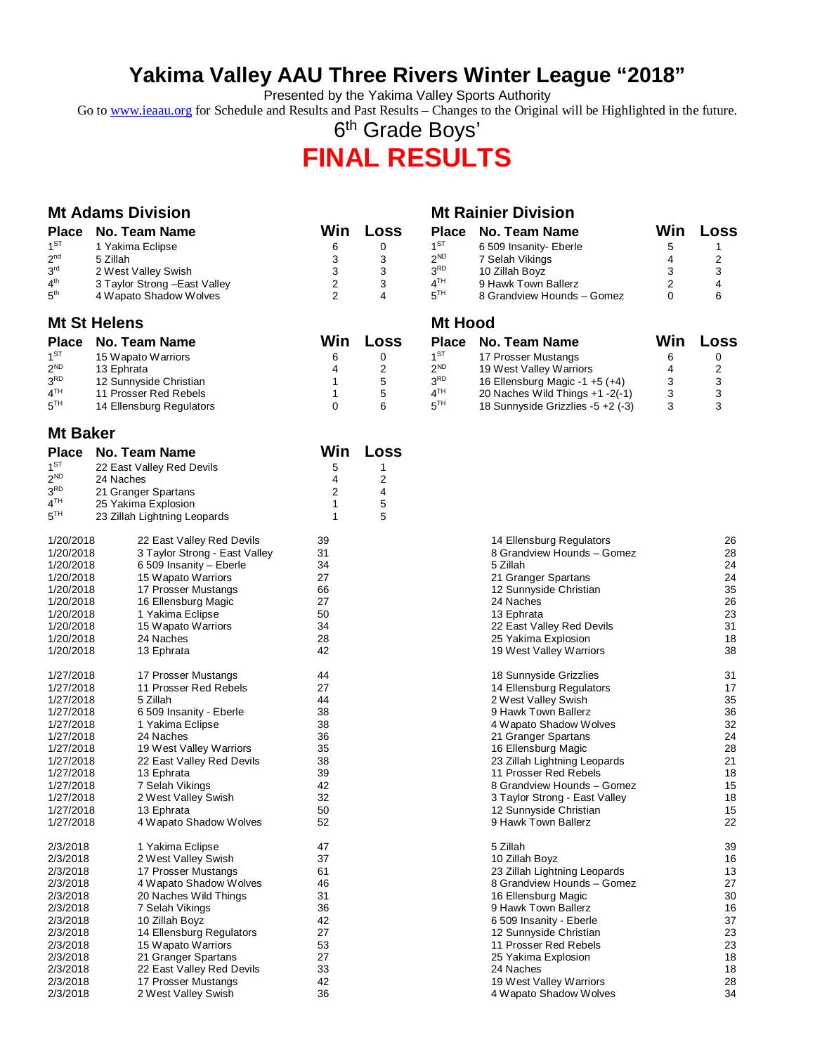## **Yakima Valley AAU Three Rivers Winter League "2018"**

Presented by the Yakima Valley Sports Authority

Go to [www.ieaau.org](http://www.ieaau.org) for Schedule and Results and Past Results – Changes to the Original will be Highlighted in the future.

6<sup>th</sup> Grade Boys'

# **FINAL RESULTS**

|                                    | <b>Mt Adams Division</b>                          |                         |                              |                                    | <b>Mt Rainier Division</b>                                           |                |                |
|------------------------------------|---------------------------------------------------|-------------------------|------------------------------|------------------------------------|----------------------------------------------------------------------|----------------|----------------|
| <b>Place</b>                       | <b>No. Team Name</b>                              | Win                     | Loss                         | <b>Place</b>                       | No. Team Name                                                        | Win            | Loss           |
| $1^{ST}$                           | 1 Yakima Eclipse                                  | 6                       | 0                            | 1 <sup>ST</sup>                    | 6 509 Insanity- Eberle                                               | 5              | 1              |
| 2 <sup>nd</sup>                    | 5 Zillah                                          | 3                       | 3                            | $2^{ND}$                           | 7 Selah Vikings                                                      | 4              | 2              |
| 3 <sup>rd</sup>                    | 2 West Valley Swish                               | 3                       | 3                            | 3 <sup>RD</sup>                    | 10 Zillah Boyz                                                       | 3              | 3              |
| $4^{\text{th}}$                    | 3 Taylor Strong - East Valley                     | $\overline{\mathbf{c}}$ | 3                            | 4 <sup>TH</sup>                    | 9 Hawk Town Ballerz                                                  | $\overline{2}$ | 4              |
| 5 <sup>th</sup>                    | 4 Wapato Shadow Wolves                            | $\overline{2}$          | 4                            | 5 <sup>TH</sup>                    | 8 Grandview Hounds - Gomez                                           | $\Omega$       | 6              |
|                                    | <b>Mt St Helens</b>                               |                         |                              | <b>Mt Hood</b>                     |                                                                      |                |                |
| <b>Place</b>                       | No. Team Name                                     | Win                     | Loss                         | <b>Place</b>                       | No. Team Name                                                        | Win            | Loss           |
| $1^{ST}$                           | 15 Wapato Warriors                                | 6                       | 0                            | 1 <sup>ST</sup>                    | 17 Prosser Mustangs                                                  | 6              | 0              |
| $2^{ND}$                           | 13 Ephrata                                        | 4                       | $\overline{\mathbf{c}}$      | $2^{ND}$                           | 19 West Valley Warriors                                              | 4              | $\overline{c}$ |
| 3 <sup>RD</sup>                    | 12 Sunnyside Christian                            | 1                       | 5                            | 3 <sup>RD</sup>                    | 16 Ellensburg Magic -1 $+5$ ( $+4$ )                                 | 3              | 3              |
| 4 <sup>TH</sup><br>5 <sup>TH</sup> | 11 Prosser Red Rebels<br>14 Ellensburg Regulators | 1<br>0                  | 5<br>6                       | 4 <sup>TH</sup><br>5 <sup>TH</sup> | 20 Naches Wild Things +1 -2(-1)<br>18 Sunnyside Grizzlies -5 +2 (-3) | 3<br>3         | 3<br>3         |
|                                    |                                                   |                         |                              |                                    |                                                                      |                |                |
| <b>Mt Baker</b>                    |                                                   |                         |                              |                                    |                                                                      |                |                |
| <b>Place</b><br>$1^{ST}$           | <b>No. Team Name</b><br>22 East Valley Red Devils | Win                     | Loss                         |                                    |                                                                      |                |                |
| $2^{ND}$                           | 24 Naches                                         | 5<br>4                  | 1<br>$\overline{\mathbf{c}}$ |                                    |                                                                      |                |                |
| $3^{\tiny{\textsf{RD}}}$           | 21 Granger Spartans                               | 2                       | 4                            |                                    |                                                                      |                |                |
| 4 <sup>TH</sup>                    | 25 Yakima Explosion                               | 1                       | 5                            |                                    |                                                                      |                |                |
| 5 <sup>TH</sup>                    | 23 Zillah Lightning Leopards                      | 1                       | 5                            |                                    |                                                                      |                |                |
| 1/20/2018                          | 22 East Valley Red Devils                         | 39                      |                              |                                    | 14 Ellensburg Regulators                                             |                | 26             |
| 1/20/2018                          | 3 Taylor Strong - East Valley                     | 31                      |                              |                                    | 8 Grandview Hounds - Gomez                                           |                | 28             |
| 1/20/2018                          | 6 509 Insanity - Eberle                           | 34                      |                              |                                    | 5 Zillah                                                             |                | 24             |
| 1/20/2018                          | 15 Wapato Warriors                                | 27                      |                              |                                    | 21 Granger Spartans                                                  |                | 24             |
| 1/20/2018                          | 17 Prosser Mustangs                               | 66<br>27                |                              |                                    | 12 Sunnyside Christian<br>24 Naches                                  |                | 35<br>26       |
| 1/20/2018<br>1/20/2018             | 16 Ellensburg Magic<br>1 Yakima Eclipse           | 50                      |                              |                                    | 13 Ephrata                                                           |                | 23             |
| 1/20/2018                          | 15 Wapato Warriors                                | 34                      |                              |                                    | 22 East Valley Red Devils                                            |                | 31             |
| 1/20/2018                          | 24 Naches                                         | 28                      |                              |                                    | 25 Yakima Explosion                                                  |                | 18             |
| 1/20/2018                          | 13 Ephrata                                        | 42                      |                              |                                    | 19 West Valley Warriors                                              |                | 38             |
| 1/27/2018                          | 17 Prosser Mustangs                               | 44                      |                              |                                    | 18 Sunnyside Grizzlies                                               |                | 31             |
| 1/27/2018                          | 11 Prosser Red Rebels                             | 27                      |                              |                                    | 14 Ellensburg Regulators                                             |                | 17             |
| 1/27/2018                          | 5 Zillah                                          | 44                      |                              |                                    | 2 West Valley Swish                                                  |                | 35             |
| 1/27/2018                          | 6 509 Insanity - Eberle                           | 38                      |                              |                                    | 9 Hawk Town Ballerz                                                  |                | 36             |
| 1/27/2018                          | 1 Yakima Eclipse                                  | 38                      |                              |                                    | 4 Wapato Shadow Wolves                                               |                | 32             |
| 1/27/2018<br>1/27/2018             | 24 Naches<br>19 West Valley Warriors              | 36<br>35                |                              |                                    | 21 Granger Spartans<br>16 Ellensburg Magic                           |                | 24<br>28       |
| 1/27/2018                          | 22 East Valley Red Devils                         | 38                      |                              |                                    | 23 Zillah Lightning Leopards                                         |                | 21             |
| 1/27/2018                          | 13 Ephrata                                        | 39                      |                              |                                    | 11 Prosser Red Rebels                                                |                | 18             |
| 1/27/2018                          | 7 Selah Vikings                                   | 42                      |                              |                                    | 8 Grandview Hounds - Gomez                                           |                | 15             |
| 1/27/2018                          | 2 West Valley Swish                               | 32                      |                              |                                    | 3 Taylor Strong - East Valley                                        |                | 18             |
| 1/27/2018                          | 13 Ephrata                                        | 50                      |                              |                                    | 12 Sunnyside Christian                                               |                | 15             |
| 1/27/2018                          | 4 Wapato Shadow Wolves                            | 52                      |                              |                                    | 9 Hawk Town Ballerz                                                  |                | 22             |
| 2/3/2018                           | 1 Yakima Eclipse                                  | 47                      |                              |                                    | 5 Zillah                                                             |                | 39             |
| 2/3/2018                           | 2 West Valley Swish                               | 37                      |                              |                                    | 10 Zillah Boyz                                                       |                | 16             |
| 2/3/2018                           | 17 Prosser Mustangs                               | 61                      |                              |                                    | 23 Zillah Lightning Leopards                                         |                | 13             |
| 2/3/2018                           | 4 Wapato Shadow Wolves                            | 46                      |                              |                                    | 8 Grandview Hounds - Gomez                                           |                | 27             |
| 2/3/2018                           | 20 Naches Wild Things                             | 31<br>36                |                              |                                    | 16 Ellensburg Magic<br>9 Hawk Town Ballerz                           |                | 30             |
| 2/3/2018<br>2/3/2018               | 7 Selah Vikings<br>10 Zillah Boyz                 | 42                      |                              |                                    | 6 509 Insanity - Eberle                                              |                | 16<br>37       |
| 2/3/2018                           | 14 Ellensburg Regulators                          | 27                      |                              |                                    | 12 Sunnyside Christian                                               |                | 23             |
| 2/3/2018                           | 15 Wapato Warriors                                | 53                      |                              |                                    | 11 Prosser Red Rebels                                                |                | 23             |
| 2/3/2018                           | 21 Granger Spartans                               | 27                      |                              |                                    | 25 Yakima Explosion                                                  |                | 18             |
| 2/3/2018                           | 22 East Valley Red Devils                         | 33                      |                              |                                    | 24 Naches                                                            |                | 18             |
| 2/3/2018                           | 17 Prosser Mustangs                               | 42                      |                              |                                    | 19 West Valley Warriors                                              |                | 28             |
| 2/3/2018                           | 2 West Valley Swish                               | 36                      |                              |                                    | 4 Wapato Shadow Wolves                                               |                | 34             |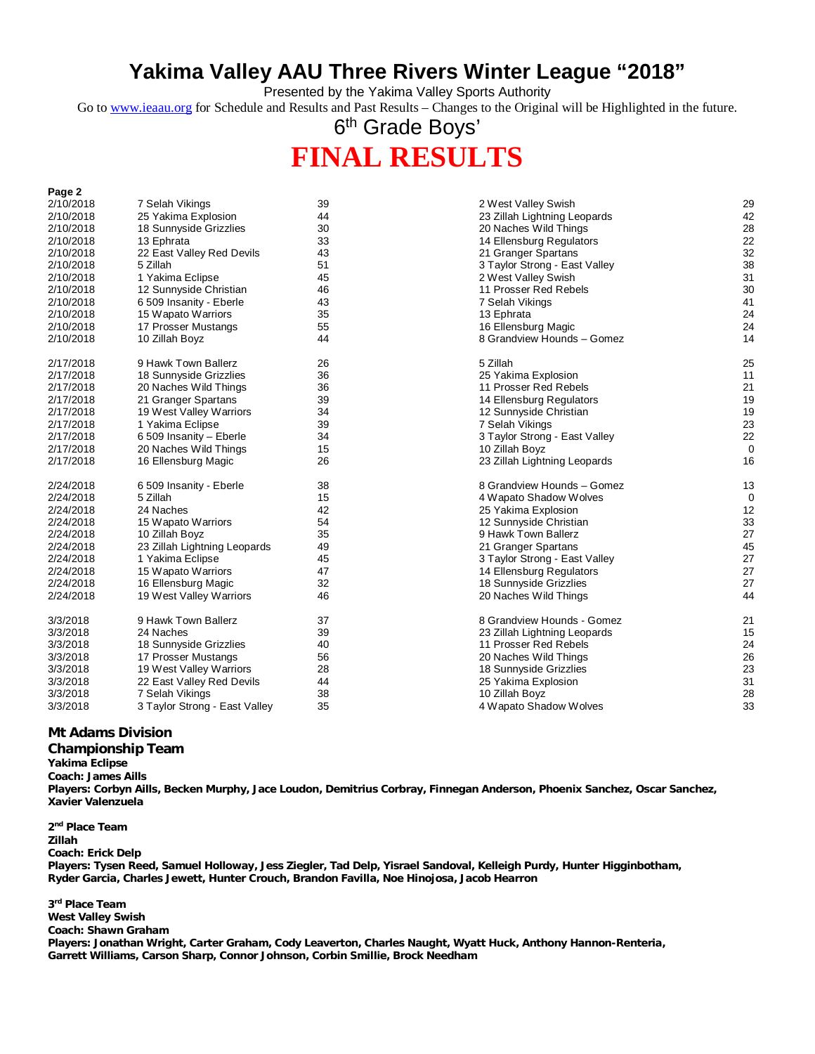## **Yakima Valley AAU Three Rivers Winter League "2018"**

Presented by the Yakima Valley Sports Authority

Go to [www.ieaau.org](http://www.ieaau.org) for Schedule and Results and Past Results – Changes to the Original will be Highlighted in the future.

6<sup>th</sup> Grade Boys'

# **FINAL RESULTS**

| rage z    |                               |    |                               |          |
|-----------|-------------------------------|----|-------------------------------|----------|
| 2/10/2018 | 7 Selah Vikings               | 39 | 2 West Valley Swish           | 29       |
| 2/10/2018 | 25 Yakima Explosion           | 44 | 23 Zillah Lightning Leopards  | 42       |
| 2/10/2018 | 18 Sunnyside Grizzlies        | 30 | 20 Naches Wild Things         | 28       |
| 2/10/2018 | 13 Ephrata                    | 33 | 14 Ellensburg Regulators      | 22       |
| 2/10/2018 | 22 East Valley Red Devils     | 43 | 21 Granger Spartans           | 32       |
| 2/10/2018 | 5 Zillah                      | 51 | 3 Taylor Strong - East Valley | 38       |
| 2/10/2018 | 1 Yakima Eclipse              | 45 | 2 West Valley Swish           | 31       |
| 2/10/2018 | 12 Sunnyside Christian        | 46 | 11 Prosser Red Rebels         | 30       |
| 2/10/2018 | 6 509 Insanity - Eberle       | 43 | 7 Selah Vikings               | 41       |
| 2/10/2018 | 15 Wapato Warriors            | 35 | 13 Ephrata                    | 24       |
| 2/10/2018 | 17 Prosser Mustangs           | 55 | 16 Ellensburg Magic           | 24       |
| 2/10/2018 | 10 Zillah Boyz                | 44 | 8 Grandview Hounds - Gomez    | 14       |
| 2/17/2018 | 9 Hawk Town Ballerz           | 26 | 5 Zillah                      | 25       |
| 2/17/2018 | 18 Sunnyside Grizzlies        | 36 | 25 Yakima Explosion           | 11       |
| 2/17/2018 | 20 Naches Wild Things         | 36 | 11 Prosser Red Rebels         | 21       |
| 2/17/2018 | 21 Granger Spartans           | 39 | 14 Ellensburg Regulators      | 19       |
| 2/17/2018 | 19 West Valley Warriors       | 34 | 12 Sunnyside Christian        | 19       |
| 2/17/2018 | 1 Yakima Eclipse              | 39 | 7 Selah Vikings               | 23       |
| 2/17/2018 | 6 509 Insanity - Eberle       | 34 | 3 Taylor Strong - East Valley | 22       |
| 2/17/2018 | 20 Naches Wild Things         | 15 | 10 Zillah Boyz                | $\Omega$ |
| 2/17/2018 | 16 Ellensburg Magic           | 26 | 23 Zillah Lightning Leopards  | 16       |
| 2/24/2018 | 6 509 Insanity - Eberle       | 38 | 8 Grandview Hounds - Gomez    | 13       |
| 2/24/2018 | 5 Zillah                      | 15 | 4 Wapato Shadow Wolves        | 0        |
| 2/24/2018 | 24 Naches                     | 42 | 25 Yakima Explosion           | 12       |
| 2/24/2018 | 15 Wapato Warriors            | 54 | 12 Sunnyside Christian        | 33       |
| 2/24/2018 | 10 Zillah Boyz                | 35 | 9 Hawk Town Ballerz           | 27       |
| 2/24/2018 | 23 Zillah Lightning Leopards  | 49 | 21 Granger Spartans           | 45       |
| 2/24/2018 | 1 Yakima Eclipse              | 45 | 3 Taylor Strong - East Valley | 27       |
| 2/24/2018 | 15 Wapato Warriors            | 47 | 14 Ellensburg Regulators      | 27       |
| 2/24/2018 | 16 Ellensburg Magic           | 32 | 18 Sunnyside Grizzlies        | 27       |
| 2/24/2018 | 19 West Valley Warriors       | 46 | 20 Naches Wild Things         | 44       |
| 3/3/2018  | 9 Hawk Town Ballerz           | 37 | 8 Grandview Hounds - Gomez    | 21       |
| 3/3/2018  | 24 Naches                     | 39 | 23 Zillah Lightning Leopards  | 15       |
| 3/3/2018  | 18 Sunnyside Grizzlies        | 40 | 11 Prosser Red Rebels         | 24       |
| 3/3/2018  | 17 Prosser Mustangs           | 56 | 20 Naches Wild Things         | 26       |
| 3/3/2018  | 19 West Valley Warriors       | 28 | 18 Sunnyside Grizzlies        | 23       |
| 3/3/2018  | 22 East Valley Red Devils     | 44 | 25 Yakima Explosion           | 31       |
| 3/3/2018  | 7 Selah Vikings               | 38 | 10 Zillah Boyz                | 28       |
| 3/3/2018  | 3 Taylor Strong - East Valley | 35 | 4 Wapato Shadow Wolves        | 33       |

#### **Mt Adams Division**

#### **Championship Team**

**Yakima Eclipse**

**Page 2**

**Coach: James Aills**

**Players: Corbyn Aills, Becken Murphy, Jace Loudon, Demitrius Corbray, Finnegan Anderson, Phoenix Sanchez, Oscar Sanchez, Xavier Valenzuela**

**2 nd Place Team Zillah Coach: Erick Delp Players: Tysen Reed, Samuel Holloway, Jess Ziegler, Tad Delp, Yisrael Sandoval, Kelleigh Purdy, Hunter Higginbotham, Ryder Garcia, Charles Jewett, Hunter Crouch, Brandon Favilla, Noe Hinojosa, Jacob Hearron**

**3 rd Place Team West Valley Swish Coach: Shawn Graham Players: Jonathan Wright, Carter Graham, Cody Leaverton, Charles Naught, Wyatt Huck, Anthony Hannon-Renteria, Garrett Williams, Carson Sharp, Connor Johnson, Corbin Smillie, Brock Needham**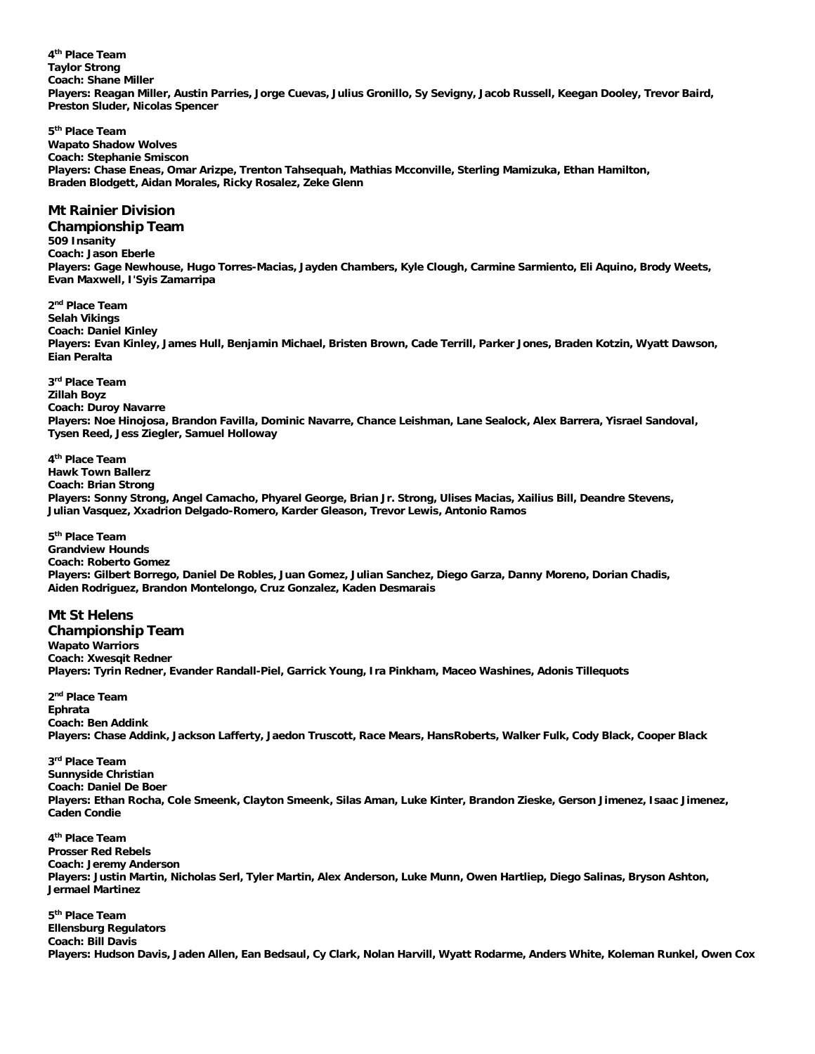**4 th Place Team Taylor Strong Coach: Shane Miller Players: Reagan Miller, Austin Parries, Jorge Cuevas, Julius Gronillo, Sy Sevigny, Jacob Russell, Keegan Dooley, Trevor Baird, Preston Sluder, Nicolas Spencer**

**5 th Place Team Wapato Shadow Wolves Coach: Stephanie Smiscon Players: Chase Eneas, Omar Arizpe, Trenton Tahsequah, Mathias Mcconville, Sterling Mamizuka, Ethan Hamilton, Braden Blodgett, Aidan Morales, Ricky Rosalez, Zeke Glenn**

#### **Mt Rainier Division**

**Championship Team 509 Insanity Coach: Jason Eberle Players: Gage Newhouse, Hugo Torres-Macias, Jayden Chambers, Kyle Clough, Carmine Sarmiento, Eli Aquino, Brody Weets, Evan Maxwell, I'Syis Zamarripa**

### **2 nd Place Team**

**Selah Vikings Coach: Daniel Kinley**

**Players: Evan Kinley, James Hull, Benjamin Michael, Bristen Brown, Cade Terrill, Parker Jones, Braden Kotzin, Wyatt Dawson, Eian Peralta**

**3 rd Place Team Zillah Boyz Coach: Duroy Navarre Players: Noe Hinojosa, Brandon Favilla, Dominic Navarre, Chance Leishman, Lane Sealock, Alex Barrera, Yisrael Sandoval, Tysen Reed, Jess Ziegler, Samuel Holloway**

**4 th Place Team Hawk Town Ballerz Coach: Brian Strong Players: Sonny Strong, Angel Camacho, Phyarel George, Brian Jr. Strong, Ulises Macias, Xailius Bill, Deandre Stevens, Julian Vasquez, Xxadrion Delgado-Romero, Karder Gleason, Trevor Lewis, Antonio Ramos**

**5 th Place Team Grandview Hounds Coach: Roberto Gomez Players: Gilbert Borrego, Daniel De Robles, Juan Gomez, Julian Sanchez, Diego Garza, Danny Moreno, Dorian Chadis, Aiden Rodriguez, Brandon Montelongo, Cruz Gonzalez, Kaden Desmarais**

#### **Mt St Helens**

**Championship Team Wapato Warriors Coach: Xwesqit Redner Players: Tyrin Redner, Evander Randall-Piel, Garrick Young, Ira Pinkham, Maceo Washines, Adonis Tillequots**

**2 nd Place Team Ephrata Coach: Ben Addink Players: Chase Addink, Jackson Lafferty, Jaedon Truscott, Race Mears, HansRoberts, Walker Fulk, Cody Black, Cooper Black**

**3 rd Place Team Sunnyside Christian Coach: Daniel De Boer Players: Ethan Rocha, Cole Smeenk, Clayton Smeenk, Silas Aman, Luke Kinter, Brandon Zieske, Gerson Jimenez, Isaac Jimenez, Caden Condie**

**4 th Place Team Prosser Red Rebels Coach: Jeremy Anderson Players: Justin Martin, Nicholas Serl, Tyler Martin, Alex Anderson, Luke Munn, Owen Hartliep, Diego Salinas, Bryson Ashton, Jermael Martinez**

**5 th Place Team Ellensburg Regulators Coach: Bill Davis Players: Hudson Davis, Jaden Allen, Ean Bedsaul, Cy Clark, Nolan Harvill, Wyatt Rodarme, Anders White, Koleman Runkel, Owen Cox**